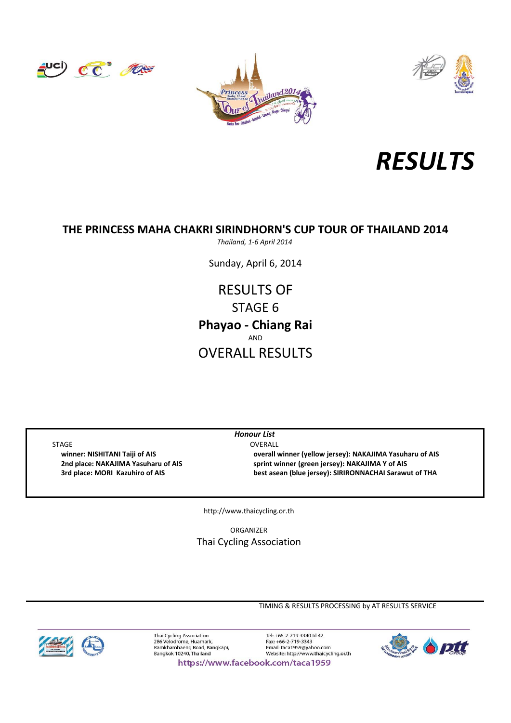







*Thailand, 1‐6 April 2014*

Sunday, April 6, 2014

AND OVERALL RESULTS **Phayao ‐ Chiang Rai** RESULTS OF STAGE 6

STAGE OVERALL

*Honour List*

 **winner: NISHITANI Taiji of AIS overall winner (yellow jersey): NAKAJIMA Yasuharu of AIS 2nd place: NAKAJIMA Yasuharu of AIS sprint winner (green jersey): NAKAJIMA Y of AIS 3rd place: MORI Kazuhiro of AIS best asean (blue jersey): SIRIRONNACHAI Sarawut of THA**

http://www.thaicycling.or.th

ORGANIZER Thai Cycling Association

TIMING & RESULTS PROCESSING by AT RESULTS SERVICE



Thai Cycling Association<br>286 Velodrome, Huamark, Ramkhamhaeng Road, Bangkapi,<br>Bangkok 10240, Thailand

Tel: +66-2-719-3340 til 42 Fax: +66-2-719-3343 Email: taca1959@yahoo.com<br>Website: http://www.thaicycling.or.th



https://www.facebook.com/taca1959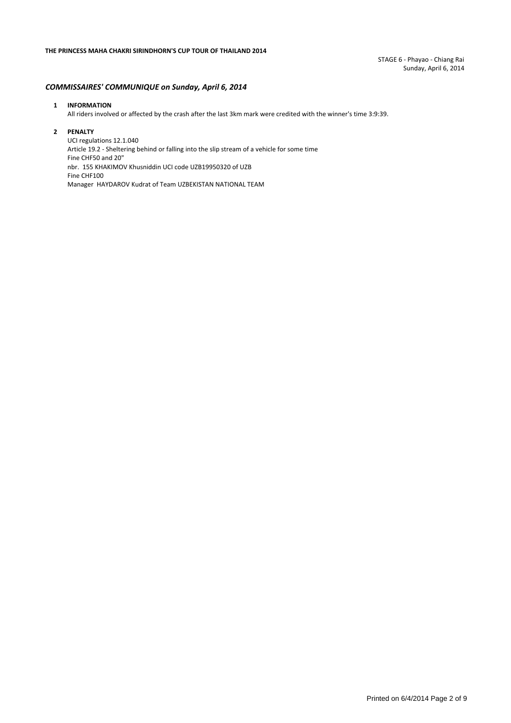STAGE 6 ‐ Phayao ‐ Chiang Rai Sunday, April 6, 2014

#### *COMMISSAIRES' COMMUNIQUE on Sunday, April 6, 2014*

#### **1 INFORMATION**

All riders involved or affected by the crash after the last 3km mark were credited with the winner's time 3:9:39.

#### **2 PENALTY**

UCI regulations 12.1.040 Article 19.2 ‐ Sheltering behind or falling into the slip stream of a vehicle for some time Fine CHF50 and 20" nbr. 155 KHAKIMOV Khusniddin UCI code UZB19950320 of UZB Fine CHF100 Manager HAYDAROV Kudrat of Team UZBEKISTAN NATIONAL TEAM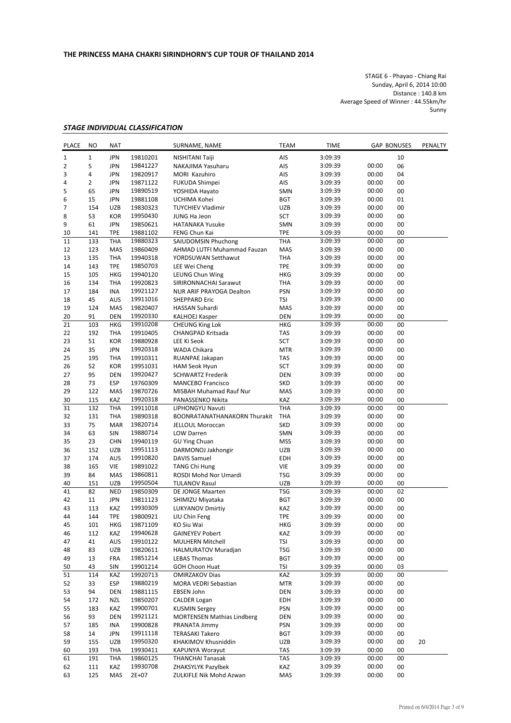STAGE 6 ‐ Phayao ‐ Chiang Rai Sunday, April 6, 2014 10:00 Distance : 140.8 km Average Speed of Winner : 44.55km/hr Sunny

#### *STAGE INDIVIDUAL CLASSIFICATION*

| <b>PLACE</b> | NO             | <b>NAT</b> |          | SURNAME, NAME                     | <b>TEAM</b> | <b>TIME</b> |       | <b>GAP BONUSES</b> | PENALTY |
|--------------|----------------|------------|----------|-----------------------------------|-------------|-------------|-------|--------------------|---------|
| $\mathbf{1}$ | $\mathbf 1$    | <b>JPN</b> | 19810201 | NISHITANI Taiji                   | AIS         | 3:09:39     |       | 10                 |         |
| 2            | 5              | <b>JPN</b> | 19841227 | NAKAJIMA Yasuharu                 | AIS         | 3:09:39     | 00:00 | 06                 |         |
| 3            | 4              | <b>JPN</b> | 19820917 | MORI Kazuhiro                     | AIS         | 3:09:39     | 00:00 | 04                 |         |
| 4            | $\overline{2}$ | <b>JPN</b> | 19871122 | FUKUDA Shimpei                    | AIS         | 3:09:39     | 00:00 | 00                 |         |
| 5            | 65             | JPN        | 19890519 | YOSHIDA Hayato                    | SMN         | 3:09:39     | 00:00 | 00                 |         |
| 6            | 15             | <b>JPN</b> | 19881108 | UCHIMA Kohei                      | <b>BGT</b>  | 3:09:39     | 00:00 | 01                 |         |
| 7            | 154            | <b>UZB</b> | 19830323 | <b>TUYCHIEV Vladimir</b>          | UZB         | 3:09:39     | 00:00 | 00                 |         |
| 8            | 53             | <b>KOR</b> | 19950430 | JUNG Ha Jeon                      | SCT         | 3:09:39     | 00:00 | 00                 |         |
| 9            | 61             | <b>JPN</b> | 19850621 | <b>HATANAKA Yusuke</b>            | SMN         | 3:09:39     | 00:00 | 00                 |         |
| 10           | 141            | <b>TPE</b> | 19881102 | FENG Chun Kai                     | <b>TPE</b>  | 3:09:39     | 00:00 | 00                 |         |
| 11           | 133            | <b>THA</b> | 19880323 | SAIUDOMSIN Phuchong               | THA         | 3:09:39     | 00:00 | 00                 |         |
| 12           | 123            | <b>MAS</b> | 19860409 | AHMAD LUTFI Muhammad Fauzan       | MAS         | 3:09:39     | 00:00 | 00                 |         |
| 13           | 135            | THA        | 19940318 | YORDSUWAN Setthawut               | THA         | 3:09:39     | 00:00 | 00                 |         |
| 14           | 143            | <b>TPE</b> | 19850703 | LEE Wei Cheng                     | TPE         | 3:09:39     | 00:00 | 00                 |         |
| 15           | 105            | <b>HKG</b> | 19940120 | LEUNG Chun Wing                   | HKG         | 3:09:39     | 00:00 | 00                 |         |
| 16           | 134            | THA        | 19920823 | SIRIRONNACHAI Sarawut             | THA         | 3:09:39     | 00:00 | 00                 |         |
| 17           | 184            | <b>INA</b> | 19921127 | NUR ARIF PRAYOGA Dealton          | PSN         | 3:09:39     | 00:00 | 00                 |         |
| 18           | 45             | AUS        | 19911016 | <b>SHEPPARD Eric</b>              | TSI         | 3:09:39     | 00:00 | 00                 |         |
| 19           | 124            | MAS        | 19820407 | HASSAN Suhardi                    | MAS         | 3:09:39     | 00:00 | 00                 |         |
| 20           | 91             | <b>DEN</b> | 19920330 | <b>KALHOEJ Kasper</b>             | DEN         | 3:09:39     | 00:00 | 00                 |         |
| 21           | 103            | <b>HKG</b> | 19910208 | <b>CHEUNG King Lok</b>            | HKG         | 3:09:39     | 00:00 | 00                 |         |
| 22           | 192            | THA        | 19910405 | CHANGPAD Kritsada                 | TAS         | 3:09:39     | 00:00 | 00                 |         |
| 23           | 51             | <b>KOR</b> | 19880928 | LEE Ki Seok                       | SCT         | 3:09:39     | 00:00 | 00                 |         |
| 24           | 35             | <b>JPN</b> | 19920318 | WADA Chikara                      | <b>MTR</b>  | 3:09:39     | 00:00 | 00                 |         |
| 25           | 195            | THA        | 19910311 | RUANPAE Jakapan                   | TAS         | 3:09:39     | 00:00 | 00                 |         |
| 26           | 52             | <b>KOR</b> | 19951031 | <b>HAM Seok Hyun</b>              | SCT         | 3:09:39     | 00:00 | 00                 |         |
| 27           | 95             | <b>DEN</b> | 19920427 | <b>SCHWARTZ Frederik</b>          | <b>DEN</b>  | 3:09:39     | 00:00 | 00                 |         |
| 28           | 73             | <b>ESP</b> | 19760309 | <b>MANCEBO Francisco</b>          | <b>SKD</b>  | 3:09:39     | 00:00 | 00                 |         |
| 29           | 122            | MAS        | 19870726 | MISBAH Muhamad Rauf Nur           | MAS         | 3:09:39     | 00:00 | 00                 |         |
| 30           | 115            | KAZ        | 19920318 | PANASSENKO Nikita                 | KAZ         | 3:09:39     | 00:00 | 00                 |         |
| 31           | 132            | <b>THA</b> | 19911018 | LIPHONGYU Navuti                  | <b>THA</b>  | 3:09:39     | 00:00 | 00                 |         |
| 32           | 131            | THA        | 19890318 | BOONRATANATHANAKORN Thurakit      | THA         | 3:09:39     | 00:00 | 00                 |         |
| 33           | 75             | <b>MAR</b> | 19820714 | JELLOUL Moroccan                  | SKD         | 3:09:39     | 00:00 | 00                 |         |
| 34           | 63             | SIN        | 19880714 | LOW Darren                        | <b>SMN</b>  | 3:09:39     | 00:00 | 00                 |         |
| 35           | 23             | <b>CHN</b> | 19940119 | <b>GU Ying Chuan</b>              | <b>MSS</b>  | 3:09:39     | 00:00 | 00                 |         |
| 36           | 152            | <b>UZB</b> | 19951113 | DARMONOJ Jakhongir                | UZB         | 3:09:39     | 00:00 | 00                 |         |
| 37           | 174            | AUS        | 19910820 | <b>DAVIS Samuel</b>               | EDH         | 3:09:39     | 00:00 | 00                 |         |
| 38           | 165            | VIE        | 19891022 | <b>TANG Chi Hung</b>              | VIE         | 3:09:39     | 00:00 | 00                 |         |
| 39           | 84             | MAS        | 19860811 | ROSDI Mohd Nor Umardi             | TSG         | 3:09:39     | 00:00 | 00                 |         |
| 40           | 151            | UZB        | 19950504 | <b>TULANOV Rasul</b>              | UZB         | 3:09:39     | 00:00 | 00                 |         |
| 41           | 82             | <b>NED</b> | 19850309 | DE JONGE Maarten                  | <b>TSG</b>  | 3:09:39     | 00:00 | 02                 |         |
| 42           | 11             | <b>JPN</b> | 19811123 | SHIMIZU Miyataka                  | <b>BGT</b>  | 3:09:39     | 00:00 | 00                 |         |
| 43           | 113            | KAZ        | 19930309 | <b>LUKYANOV Dmirtiy</b>           | KAZ         | 3:09:39     | 00:00 | 00                 |         |
| 44           | 144            | <b>TPE</b> | 19800921 | LIU Chin Feng                     | <b>TPE</b>  | 3:09:39     | 00:00 | 00                 |         |
| 45           | 101            | HKG        | 19871109 | KO Siu Wai                        | HKG         | 3:09:39     | 00:00 | 00                 |         |
| 46           | 112            | KAZ        | 19940628 | <b>GAINEYEV Pobert</b>            | KAZ         | 3:09:39     | 00:00 | 00                 |         |
| 47           | 41             | AUS        | 19910122 | <b>MULHERN Mitchell</b>           | <b>TSI</b>  | 3:09:39     | 00:00 | 00                 |         |
| 48           | 83             | UZB        | 19820611 | <b>HALMURATOV Muradjan</b>        | TSG         | 3:09:39     | 00:00 | 00                 |         |
| 49           | 13             | <b>FRA</b> | 19851214 | <b>LEBAS Thomas</b>               | <b>BGT</b>  | 3:09:39     | 00:00 | 00                 |         |
| 50           | 43             | SIN        | 19901214 | <b>GOH Choon Huat</b>             | TSI         | 3:09:39     | 00:00 | 03                 |         |
| 51           | 114            | KAZ        | 19920713 | <b>OMIRZAKOV Dias</b>             | KAZ         | 3:09:39     | 00:00 | 00                 |         |
| 52           | 33             | ESP        | 19880219 | <b>MORA VEDRI Sebastian</b>       | <b>MTR</b>  | 3:09:39     | 00:00 | 00                 |         |
| 53           | 94             | DEN        | 19881115 | EBSEN John                        | DEN         | 3:09:39     | 00:00 | 00                 |         |
| 54           | 172            | <b>NZL</b> | 19850207 | <b>CALDER Logan</b>               | EDH         | 3:09:39     | 00:00 | 00                 |         |
| 55           | 183            | KAZ        | 19900701 | <b>KUSMIN Sergey</b>              | PSN         | 3:09:39     | 00:00 | 00                 |         |
| 56           | 93             | <b>DEN</b> | 19921121 | <b>MORTENSEN Mathias Lindberg</b> | DEN         | 3:09:39     | 00:00 | 00                 |         |
| 57           | 185            | INA        | 19900828 | PRANATA Jimmy                     | PSN         | 3:09:39     | 00:00 | 00                 |         |
| 58           | 14             | JPN        | 19911118 | <b>TERASAKI Takero</b>            | <b>BGT</b>  | 3:09:39     | 00:00 | 00                 |         |
| 59           | 155            | UZB        | 19950320 | KHAKIMOV Khusniddin               | UZB         | 3:09:39     | 00:00 | 00                 | 20      |
| 60           | 193            | THA        | 19930411 | KAPUNYA Worayut                   | TAS         | 3:09:39     | 00:00 | 00                 |         |
| 61           | 191            | THA        | 19860125 | <b>THANCHAI Tanasak</b>           | TAS         | 3:09:39     | 00:00 | 00                 |         |
| 62           | 111            | KAZ        | 19930708 | ZHAKSYLYK Pazylbek                | KAZ         | 3:09:39     | 00:00 | 00                 |         |
| 63           | 125            | MAS        | 2E+07    | ZULKIFLE Nik Mohd Azwan           | MAS         | 3:09:39     | 00:00 | 00                 |         |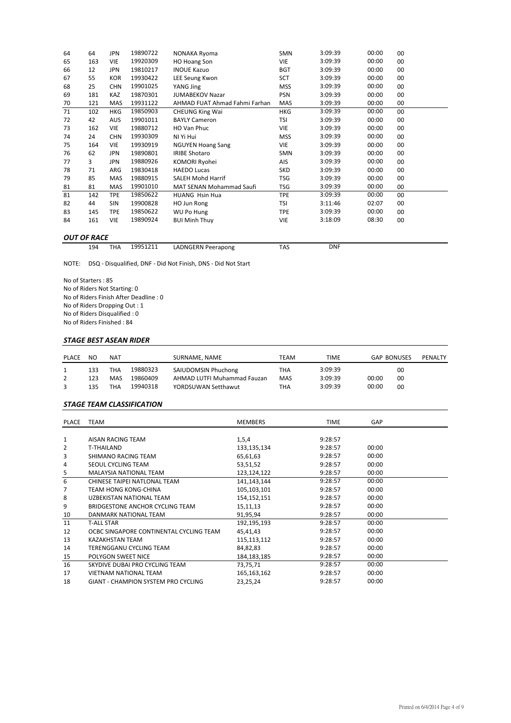| 64 | 64  | <b>JPN</b> | 19890722 | NONAKA Ryoma                  | <b>SMN</b> | 3:09:39 | 00:00 | 00 |
|----|-----|------------|----------|-------------------------------|------------|---------|-------|----|
| 65 | 163 | VIE        | 19920309 | HO Hoang Son                  | VIE        | 3:09:39 | 00:00 | 00 |
| 66 | 12  | JPN        | 19810217 | <b>INOUE Kazuo</b>            | <b>BGT</b> | 3:09:39 | 00:00 | 00 |
| 67 | 55  | KOR        | 19930422 | LEE Seung Kwon                | SCT        | 3:09:39 | 00:00 | 00 |
| 68 | 25  | <b>CHN</b> | 19901025 | YANG Jing                     | <b>MSS</b> | 3:09:39 | 00:00 | 00 |
| 69 | 181 | KAZ        | 19870301 | <b>JUMABEKOV Nazar</b>        | <b>PSN</b> | 3:09:39 | 00:00 | 00 |
| 70 | 121 | MAS        | 19931122 | AHMAD FUAT Ahmad Fahmi Farhan | MAS        | 3:09:39 | 00:00 | 00 |
| 71 | 102 | HKG        | 19850903 | <b>CHEUNG King Wai</b>        | HKG        | 3:09:39 | 00:00 | 00 |
| 72 | 42  | <b>AUS</b> | 19901011 | <b>BAYLY Cameron</b>          | TSI        | 3:09:39 | 00:00 | 00 |
| 73 | 162 | VIE        | 19880712 | HO Van Phuc                   | <b>VIE</b> | 3:09:39 | 00:00 | 00 |
| 74 | 24  | <b>CHN</b> | 19930309 | NI Yi Hui                     | <b>MSS</b> | 3:09:39 | 00:00 | 00 |
| 75 | 164 | VIE        | 19930919 | <b>NGUYEN Hoang Sang</b>      | VIE        | 3:09:39 | 00:00 | 00 |
| 76 | 62  | JPN        | 19890801 | <b>IRIBE Shotaro</b>          | SMN        | 3:09:39 | 00:00 | 00 |
| 77 | 3   | JPN        | 19880926 | KOMORI Ryohei                 | AIS        | 3:09:39 | 00:00 | 00 |
| 78 | 71  | ARG        | 19830418 | <b>HAEDO Lucas</b>            | <b>SKD</b> | 3:09:39 | 00:00 | 00 |
| 79 | 85  | MAS        | 19880915 | <b>SALEH Mohd Harrif</b>      | TSG        | 3:09:39 | 00:00 | 00 |
| 81 | 81  | MAS        | 19901010 | MAT SENAN Mohammad Saufi      | TSG        | 3:09:39 | 00:00 | 00 |
| 81 | 142 | <b>TPE</b> | 19850622 | <b>HUANG Hsin Hua</b>         | <b>TPE</b> | 3:09:39 | 00:00 | 00 |
| 82 | 44  | SIN        | 19900828 | HO Jun Rong                   | TSI        | 3:11:46 | 02:07 | 00 |
| 83 | 145 | <b>TPE</b> | 19850622 | WU Po Hung                    | <b>TPE</b> | 3:09:39 | 00:00 | 00 |
| 84 | 161 | VIE        | 19890924 | <b>BUI Minh Thuy</b>          | VIE        | 3:18:09 | 08:30 | 00 |
|    |     |            |          |                               |            |         |       |    |

#### *OUT OF RACE*

| 194 | THA | 19951211 | LADNGERN Peerapong | TAS | DNF |
|-----|-----|----------|--------------------|-----|-----|

NOTE: DSQ ‐ Disqualified, DNF ‐ Did Not Finish, DNS ‐ Did Not Start

No of Starters : 85 No of Riders Not Starting: 0 No of Riders Finish After Deadline : 0 No of Riders Dropping Out : 1 No of Riders Disqualified : 0 No of Riders Finished : 84

## *STAGE BEST ASEAN RIDER*

| <b>PLACE</b> | NO.        | NAT        |                      | SURNAME, NAME                                      | TEAM       | TIME               | <b>GAP BONUSES</b> |          | PENALTY |
|--------------|------------|------------|----------------------|----------------------------------------------------|------------|--------------------|--------------------|----------|---------|
|              | 133        | THA        | 19880323             | SAIUDOMSIN Phuchong                                | THA        | 3:09:39            |                    | 00       |         |
|              |            |            |                      |                                                    |            |                    |                    |          |         |
|              | 123<br>135 | MAS<br>ТНА | 19860409<br>19940318 | AHMAD LUTFI Muhammad Fauzan<br>YORDSUWAN Setthawut | MAS<br>THA | 3:09:39<br>3:09:39 | 00:00<br>00:00     | 00<br>00 |         |

#### *STAGE TEAM CLASSIFICATION*

| PLACE | <b>TEAM</b>                                | <b>MEMBERS</b> | <b>TIME</b> | <b>GAP</b> |  |
|-------|--------------------------------------------|----------------|-------------|------------|--|
|       |                                            |                |             |            |  |
| 1     | AISAN RACING TEAM                          | 1, 5, 4        | 9:28:57     |            |  |
| 2     | T-THAILAND                                 | 133,135,134    | 9:28:57     | 00:00      |  |
| 3     | SHIMANO RACING TEAM                        | 65,61,63       | 9:28:57     | 00:00      |  |
| 4     | SEOUL CYCLING TEAM                         | 53,51,52       | 9:28:57     | 00:00      |  |
| 5     | <b>MALAYSIA NATIONAL TEAM</b>              | 123,124,122    | 9:28:57     | 00:00      |  |
| 6     | CHINESE TAIPEI NATLONAL TEAM               | 141,143,144    | 9:28:57     | 00:00      |  |
| 7     | TEAM HONG KONG-CHINA                       | 105,103,101    | 9:28:57     | 00:00      |  |
| 8     | UZBEKISTAN NATIONAL TEAM                   | 154, 152, 151  | 9:28:57     | 00:00      |  |
| 9     | BRIDGESTONE ANCHOR CYCLING TEAM            | 15,11,13       | 9:28:57     | 00:00      |  |
| 10    | DANMARK NATIONAL TEAM                      | 91,95,94       | 9:28:57     | 00:00      |  |
| 11    | <b>T-ALL STAR</b>                          | 192,195,193    | 9:28:57     | 00:00      |  |
| 12    | OCBC SINGAPORE CONTINENTAL CYCLING TEAM    | 45,41,43       | 9:28:57     | 00:00      |  |
| 13    | <b>KAZAKHSTAN TEAM</b>                     | 115, 113, 112  | 9:28:57     | 00:00      |  |
| 14    | TERENGGANU CYCLING TEAM                    | 84,82,83       | 9:28:57     | 00:00      |  |
| 15    | POLYGON SWEET NICE                         | 184, 183, 185  | 9:28:57     | 00:00      |  |
| 16    | SKYDIVE DUBAI PRO CYCLING TEAM             | 73,75,71       | 9:28:57     | 00:00      |  |
| 17    | <b>VIETNAM NATIONAL TEAM</b>               | 165,163,162    | 9:28:57     | 00:00      |  |
| 18    | <b>GIANT - CHAMPION SYSTEM PRO CYCLING</b> | 23,25,24       | 9:28:57     | 00:00      |  |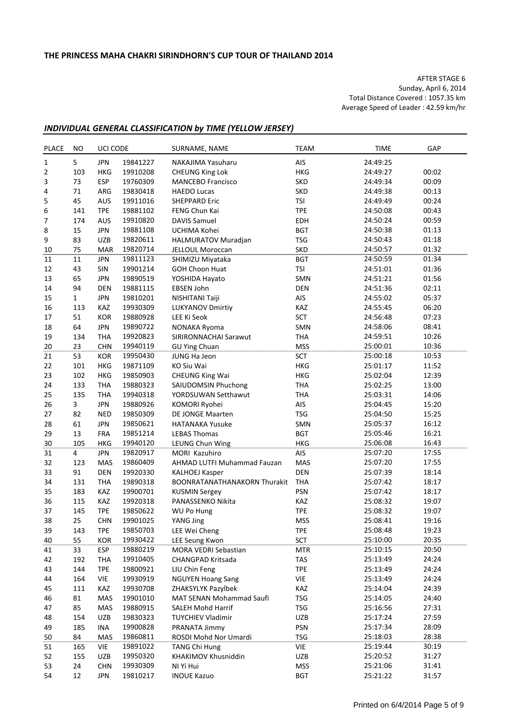AFTER STAGE 6 Sunday, April 6, 2014 Total Distance Covered : 1057.35 km Average Speed of Leader : 42.59 km/hr

## *INDIVIDUAL GENERAL CLASSIFICATION by TIME (YELLOW JERSEY)*

| <b>PLACE</b>     | NO.            | UCI CODE                 |                      | SURNAME, NAME                          | <b>TEAM</b> | <b>TIME</b>          | GAP            |
|------------------|----------------|--------------------------|----------------------|----------------------------------------|-------------|----------------------|----------------|
| $1\,$            | 5              | <b>JPN</b>               | 19841227             | NAKAJIMA Yasuharu                      | AIS         | 24:49:25             |                |
| $\overline{2}$   | 103            | <b>HKG</b>               | 19910208             | <b>CHEUNG King Lok</b>                 | <b>HKG</b>  | 24:49:27             | 00:02          |
| 3                | 73             | <b>ESP</b>               | 19760309             | <b>MANCEBO Francisco</b>               | SKD         | 24:49:34             | 00:09          |
| 4                | 71             | ARG                      | 19830418             | <b>HAEDO Lucas</b>                     | <b>SKD</b>  | 24:49:38             | 00:13          |
| 5                | 45             | AUS                      | 19911016             | <b>SHEPPARD Eric</b>                   | <b>TSI</b>  | 24:49:49             | 00:24          |
| 6                | 141            | <b>TPE</b>               | 19881102             | FENG Chun Kai                          | <b>TPE</b>  | 24:50:08             | 00:43          |
| $\boldsymbol{7}$ | 174            | AUS                      | 19910820             | <b>DAVIS Samuel</b>                    | EDH         | 24:50:24             | 00:59          |
| 8                | 15             | <b>JPN</b>               | 19881108             | UCHIMA Kohei                           | <b>BGT</b>  | 24:50:38             | 01:13          |
| 9                | 83             | UZB                      | 19820611             | HALMURATOV Muradjan                    | <b>TSG</b>  | 24:50:43             | 01:18          |
| 10               | 75             | <b>MAR</b>               | 19820714             | JELLOUL Moroccan                       | <b>SKD</b>  | 24:50:57             | 01:32          |
| 11               | 11             | <b>JPN</b>               | 19811123             | SHIMIZU Miyataka                       | <b>BGT</b>  | 24:50:59             | 01:34          |
| 12               | 43             | SIN                      | 19901214             | <b>GOH Choon Huat</b>                  | <b>TSI</b>  | 24:51:01             | 01:36          |
| 13               | 65             | <b>JPN</b>               | 19890519             | YOSHIDA Hayato                         | SMN         | 24:51:21             | 01:56          |
| 14               | 94             | <b>DEN</b>               | 19881115             | <b>EBSEN John</b>                      | <b>DEN</b>  | 24:51:36             | 02:11          |
| 15               | 1              | <b>JPN</b>               | 19810201             | NISHITANI Taiji                        | AIS         | 24:55:02             | 05:37          |
| 16               | 113            | KAZ                      | 19930309             | <b>LUKYANOV Dmirtiy</b>                | KAZ         | 24:55:45             | 06:20          |
| 17               | 51             | KOR                      | 19880928             | LEE Ki Seok                            | SCT         | 24:56:48             | 07:23          |
| 18               | 64             | <b>JPN</b>               | 19890722             | NONAKA Ryoma                           | SMN         | 24:58:06             | 08:41          |
| 19               | 134            | <b>THA</b>               | 19920823             | SIRIRONNACHAI Sarawut                  | <b>THA</b>  | 24:59:51             | 10:26          |
| 20               | 23             | <b>CHN</b>               | 19940119             | <b>GU Ying Chuan</b>                   | <b>MSS</b>  | 25:00:01             | 10:36          |
| 21               | 53             | KOR                      | 19950430             | JUNG Ha Jeon                           | SCT         | 25:00:18             | 10:53          |
| 22               | 101            | <b>HKG</b>               | 19871109             | KO Siu Wai                             | <b>HKG</b>  | 25:01:17             | 11:52          |
| 23               | 102            | <b>HKG</b>               | 19850903             | <b>CHEUNG King Wai</b>                 | <b>HKG</b>  | 25:02:04             | 12:39          |
| 24               | 133            | <b>THA</b>               | 19880323             | SAIUDOMSIN Phuchong                    | <b>THA</b>  | 25:02:25             | 13:00          |
| 25               | 135            | <b>THA</b>               | 19940318             | YORDSUWAN Setthawut                    | <b>THA</b>  | 25:03:31             | 14:06          |
| 26               | 3              | <b>JPN</b>               | 19880926             | KOMORI Ryohei                          | AIS         | 25:04:45             | 15:20          |
| 27               | 82             | <b>NED</b>               | 19850309             | DE JONGE Maarten                       | <b>TSG</b>  | 25:04:50             | 15:25          |
| 28               | 61             | <b>JPN</b>               | 19850621             | <b>HATANAKA Yusuke</b>                 | SMN         | 25:05:37             | 16:12          |
| 29               | 13             | <b>FRA</b>               | 19851214             | <b>LEBAS Thomas</b>                    | <b>BGT</b>  | 25:05:46             | 16:21          |
| 30               | 105            | <b>HKG</b>               | 19940120             | LEUNG Chun Wing                        | <b>HKG</b>  | 25:06:08             | 16:43          |
| 31               | $\overline{4}$ | <b>JPN</b>               | 19820917             | MORI Kazuhiro                          | AIS         | 25:07:20             | 17:55          |
| 32               | 123            | MAS                      | 19860409             | AHMAD LUTFI Muhammad Fauzan            | MAS         | 25:07:20             | 17:55          |
| 33               | 91             | DEN                      | 19920330             | <b>KALHOEJ Kasper</b>                  | <b>DEN</b>  | 25:07:39             | 18:14          |
| 34               | 131            | <b>THA</b>               | 19890318             | BOONRATANATHANAKORN Thurakit           | THA         | 25:07:42             | 18:17          |
| 35               | 183            | <b>KAZ</b>               | 19900701             | <b>KUSMIN Sergey</b>                   | <b>PSN</b>  | 25:07:42             | 18:17          |
| 36               | 115            | KAZ                      | 19920318             | PANASSENKO Nikita                      | KAZ         | 25:08:32             | 19:07          |
| 37               | 145            | <b>TPE</b>               | 19850622             | <b>WU Po Hung</b>                      | <b>TPE</b>  | 25:08:32             | 19:07          |
| 38               | 25             | <b>CHN</b>               | 19901025             | YANG Jing                              | <b>MSS</b>  | 25:08:41             | 19:16          |
| 39               | 143            | <b>TPE</b>               | 19850703             | LEE Wei Cheng                          | <b>TPE</b>  | 25:08:48             | 19:23          |
| 40               | 55             | KOR                      | 19930422             | LEE Seung Kwon                         | SCT         | 25:10:00             | 20:35          |
| 41               | 33             | <b>ESP</b>               | 19880219             | MORA VEDRI Sebastian                   | <b>MTR</b>  | 25:10:15             | 20:50          |
| 42               | 192            | <b>THA</b>               | 19910405             | CHANGPAD Kritsada                      | TAS         | 25:13:49             | 24:24          |
| 43               | 144            | <b>TPE</b>               | 19800921             | LIU Chin Feng                          | <b>TPE</b>  | 25:13:49             | 24:24          |
| 44               | 164            | VIE                      | 19930919             | <b>NGUYEN Hoang Sang</b>               | VIE         | 25:13:49             | 24:24          |
| 45               | 111            | KAZ                      | 19930708             | ZHAKSYLYK Pazylbek                     | KAZ         | 25:14:04             | 24:39          |
| 46               |                | MAS                      | 19901010             | MAT SENAN Mohammad Saufi               | <b>TSG</b>  | 25:14:05             | 24:40          |
| 47               | 81<br>85       | MAS                      | 19880915             | SALEH Mohd Harrif                      | <b>TSG</b>  | 25:16:56             | 27:31          |
|                  | 154            | UZB                      | 19830323             | <b>TUYCHIEV Vladimir</b>               | UZB         | 25:17:24             | 27:59          |
| 48               | 185            | INA                      | 19900828             |                                        | PSN         | 25:17:34             | 28:09          |
| 49               | 84             | MAS                      |                      | PRANATA Jimmy<br>ROSDI Mohd Nor Umardi | <b>TSG</b>  |                      | 28:38          |
| 50               |                |                          | 19860811<br>19891022 | TANG Chi Hung                          | VIE         | 25:18:03             |                |
| 51<br>52         | 165<br>155     | <b>VIE</b><br><b>UZB</b> | 19950320             | KHAKIMOV Khusniddin                    | UZB         | 25:19:44<br>25:20:52 | 30:19<br>31:27 |
| 53               | 24             | <b>CHN</b>               | 19930309             | NI Yi Hui                              | <b>MSS</b>  | 25:21:06             | 31:41          |
| 54               | 12             | <b>JPN</b>               | 19810217             | <b>INOUE Kazuo</b>                     | <b>BGT</b>  | 25:21:22             | 31:57          |
|                  |                |                          |                      |                                        |             |                      |                |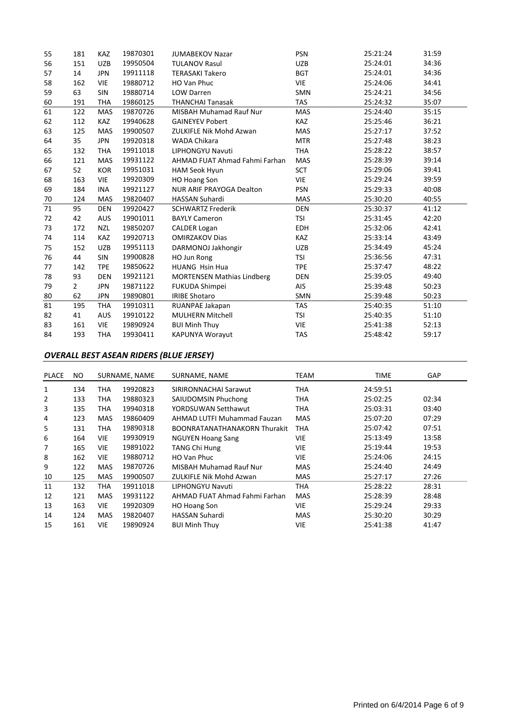| 55 | 181            | <b>KAZ</b> | 19870301 | <b>JUMABEKOV Nazar</b>            | <b>PSN</b> | 25:21:24 | 31:59 |
|----|----------------|------------|----------|-----------------------------------|------------|----------|-------|
| 56 | 151            | <b>UZB</b> | 19950504 | <b>TULANOV Rasul</b>              | <b>UZB</b> | 25:24:01 | 34:36 |
| 57 | 14             | <b>JPN</b> | 19911118 | <b>TERASAKI Takero</b>            | <b>BGT</b> | 25:24:01 | 34:36 |
| 58 | 162            | VIE        | 19880712 | HO Van Phuc                       | <b>VIE</b> | 25:24:06 | 34:41 |
| 59 | 63             | SIN        | 19880714 | <b>LOW Darren</b>                 | <b>SMN</b> | 25:24:21 | 34:56 |
| 60 | 191            | <b>THA</b> | 19860125 | <b>THANCHAI Tanasak</b>           | <b>TAS</b> | 25:24:32 | 35:07 |
| 61 | 122            | <b>MAS</b> | 19870726 | <b>MISBAH Muhamad Rauf Nur</b>    | <b>MAS</b> | 25:24:40 | 35:15 |
| 62 | 112            | <b>KAZ</b> | 19940628 | <b>GAINEYEV Pobert</b>            | <b>KAZ</b> | 25:25:46 | 36:21 |
| 63 | 125            | MAS        | 19900507 | <b>ZULKIFLE Nik Mohd Azwan</b>    | <b>MAS</b> | 25:27:17 | 37:52 |
| 64 | 35             | <b>JPN</b> | 19920318 | <b>WADA Chikara</b>               | <b>MTR</b> | 25:27:48 | 38:23 |
| 65 | 132            | <b>THA</b> | 19911018 | LIPHONGYU Navuti                  | <b>THA</b> | 25:28:22 | 38:57 |
| 66 | 121            | MAS        | 19931122 | AHMAD FUAT Ahmad Fahmi Farhan     | MAS        | 25:28:39 | 39:14 |
| 67 | 52             | <b>KOR</b> | 19951031 | HAM Seok Hyun                     | <b>SCT</b> | 25:29:06 | 39:41 |
| 68 | 163            | <b>VIE</b> | 19920309 | <b>HO Hoang Son</b>               | <b>VIE</b> | 25:29:24 | 39:59 |
| 69 | 184            | <b>INA</b> | 19921127 | <b>NUR ARIF PRAYOGA Dealton</b>   | <b>PSN</b> | 25:29:33 | 40:08 |
|    |                |            |          |                                   |            |          |       |
| 70 | 124            | <b>MAS</b> | 19820407 | <b>HASSAN Suhardi</b>             | MAS        | 25:30:20 | 40:55 |
| 71 | 95             | <b>DEN</b> | 19920427 | <b>SCHWARTZ Frederik</b>          | <b>DEN</b> | 25:30:37 | 41:12 |
| 72 | 42             | <b>AUS</b> | 19901011 | <b>BAYLY Cameron</b>              | <b>TSI</b> | 25:31:45 | 42:20 |
| 73 | 172            | <b>NZL</b> | 19850207 | <b>CALDER Logan</b>               | <b>EDH</b> | 25:32:06 | 42:41 |
| 74 | 114            | <b>KAZ</b> | 19920713 | <b>OMIRZAKOV Dias</b>             | <b>KAZ</b> | 25:33:14 | 43:49 |
| 75 | 152            | <b>UZB</b> | 19951113 | DARMONOJ Jakhongir                | <b>UZB</b> | 25:34:49 | 45:24 |
| 76 | 44             | <b>SIN</b> | 19900828 | HO Jun Rong                       | <b>TSI</b> | 25:36:56 | 47:31 |
| 77 | 142            | <b>TPE</b> | 19850622 | HUANG Hsin Hua                    | <b>TPE</b> | 25:37:47 | 48:22 |
| 78 | 93             | <b>DEN</b> | 19921121 | <b>MORTENSEN Mathias Lindberg</b> | <b>DEN</b> | 25:39:05 | 49:40 |
| 79 | $\overline{2}$ | <b>JPN</b> | 19871122 | <b>FUKUDA Shimpei</b>             | AIS        | 25:39:48 | 50:23 |
| 80 | 62             | <b>JPN</b> | 19890801 | <b>IRIBE Shotaro</b>              | SMN        | 25:39:48 | 50:23 |
| 81 | 195            | <b>THA</b> | 19910311 | RUANPAE Jakapan                   | <b>TAS</b> | 25:40:35 | 51:10 |
| 82 | 41             | <b>AUS</b> | 19910122 | MULHERN Mitchell                  | <b>TSI</b> | 25:40:35 | 51:10 |
| 83 | 161            | <b>VIE</b> | 19890924 | <b>BUI Minh Thuy</b>              | <b>VIE</b> | 25:41:38 | 52:13 |

## *OVERALL BEST ASEAN RIDERS (BLUE JERSEY)*

| <b>PLACE</b> | NO. |            | SURNAME, NAME | SURNAME, NAME                       | TEAM       | <b>TIME</b> | GAP   |
|--------------|-----|------------|---------------|-------------------------------------|------------|-------------|-------|
| 1            | 134 | THA        | 19920823      | SIRIRONNACHAI Sarawut               | THA        | 24:59:51    |       |
| 2            | 133 | THA        | 19880323      | SAIUDOMSIN Phuchong                 | THA        | 25:02:25    | 02:34 |
| 3            | 135 | THA        | 19940318      | YORDSUWAN Setthawut                 | THA        | 25:03:31    | 03:40 |
| 4            | 123 | <b>MAS</b> | 19860409      | AHMAD LUTFI Muhammad Fauzan         | <b>MAS</b> | 25:07:20    | 07:29 |
| 5            | 131 | THA        | 19890318      | <b>BOONRATANATHANAKORN Thurakit</b> | <b>THA</b> | 25:07:42    | 07:51 |
| 6            | 164 | <b>VIE</b> | 19930919      | <b>NGUYEN Hoang Sang</b>            | <b>VIE</b> | 25:13:49    | 13:58 |
| 7            | 165 | VIE        | 19891022      | <b>TANG Chi Hung</b>                | <b>VIE</b> | 25:19:44    | 19:53 |
| 8            | 162 | <b>VIE</b> | 19880712      | HO Van Phuc                         | <b>VIE</b> | 25:24:06    | 24:15 |
| 9            | 122 | <b>MAS</b> | 19870726      | <b>MISBAH Muhamad Rauf Nur</b>      | <b>MAS</b> | 25:24:40    | 24:49 |
| 10           | 125 | <b>MAS</b> | 19900507      | ZULKIFLE Nik Mohd Azwan             | <b>MAS</b> | 25:27:17    | 27:26 |
| 11           | 132 | THA        | 19911018      | LIPHONGYU Navuti                    | <b>THA</b> | 25:28:22    | 28:31 |
| 12           | 121 | <b>MAS</b> | 19931122      | AHMAD FUAT Ahmad Fahmi Farhan       | <b>MAS</b> | 25:28:39    | 28:48 |
| 13           | 163 | VIE        | 19920309      | HO Hoang Son                        | <b>VIE</b> | 25:29:24    | 29:33 |
| 14           | 124 | <b>MAS</b> | 19820407      | <b>HASSAN Suhardi</b>               | <b>MAS</b> | 25:30:20    | 30:29 |
| 15           | 161 | VIE        | 19890924      | <b>BUI Minh Thuy</b>                | VIE        | 25:41:38    | 41:47 |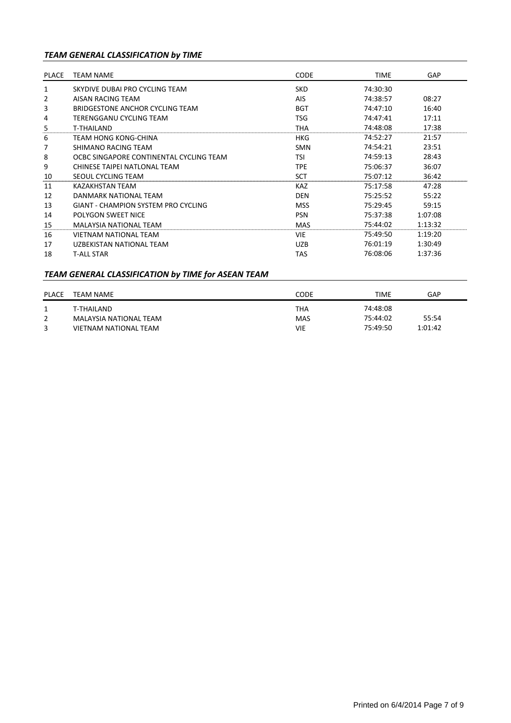# *TEAM GENERAL CLASSIFICATION by TIME*

| PLACE | <b>TEAM NAME</b>                           | <b>CODE</b> | <b>TIME</b> | <b>GAP</b> |
|-------|--------------------------------------------|-------------|-------------|------------|
|       |                                            |             |             |            |
| 1     | SKYDIVE DUBAI PRO CYCLING TEAM             | <b>SKD</b>  | 74:30:30    |            |
| 2     | AISAN RACING TEAM                          | AIS         | 74:38:57    | 08:27      |
| 3     | BRIDGESTONE ANCHOR CYCLING TEAM            | <b>BGT</b>  | 74:47:10    | 16:40      |
| 4     | TERENGGANU CYCLING TEAM                    | TSG         | 74:47:41    | 17:11      |
| 5     | T-THAILAND                                 | THA         | 74:48:08    | 17:38      |
| 6     | TEAM HONG KONG-CHINA                       | <b>HKG</b>  | 74:52:27    | 21:57      |
| 7     | SHIMANO RACING TEAM                        | <b>SMN</b>  | 74:54:21    | 23:51      |
| 8     | OCBC SINGAPORE CONTINENTAL CYCLING TEAM    | TSI         | 74:59:13    | 28:43      |
| 9     | CHINESE TAIPEI NATLONAL TEAM               | TPE         | 75:06:37    | 36:07      |
| 10    | SEOUL CYCLING TEAM                         | <b>SCT</b>  | 75:07:12    | 36:42      |
| 11    | <b>KAZAKHSTAN TEAM</b>                     | <b>KAZ</b>  | 75:17:58    | 47:28      |
| 12    | DANMARK NATIONAL TEAM                      | <b>DEN</b>  | 75:25:52    | 55:22      |
| 13    | <b>GIANT - CHAMPION SYSTEM PRO CYCLING</b> | <b>MSS</b>  | 75:29:45    | 59:15      |
| 14    | POLYGON SWEET NICE                         | <b>PSN</b>  | 75:37:38    | 1:07:08    |
| 15    | <b>MALAYSIA NATIONAL TEAM</b>              | <b>MAS</b>  | 75:44:02    | 1:13:32    |
| 16    | <b>VIETNAM NATIONAL TEAM</b>               | <b>VIE</b>  | 75:49:50    | 1:19:20    |
| 17    | UZBEKISTAN NATIONAL TEAM                   | <b>UZB</b>  | 76:01:19    | 1:30:49    |
| 18    | <b>T-ALL STAR</b>                          | TAS         | 76:08:06    | 1:37:36    |

# *TEAM GENERAL CLASSIFICATION by TIME for ASEAN TEAM*

| <b>PLACE</b> | TEAM NAME              | CODE       | TIME     | GAP     |
|--------------|------------------------|------------|----------|---------|
|              | T-THAILAND             | THA        | 74:48:08 |         |
|              | MALAYSIA NATIONAL TEAM | <b>MAS</b> | 75:44:02 | 55:54   |
| 3            | VIETNAM NATIONAL TEAM  | VIE        | 75:49:50 | 1:01:42 |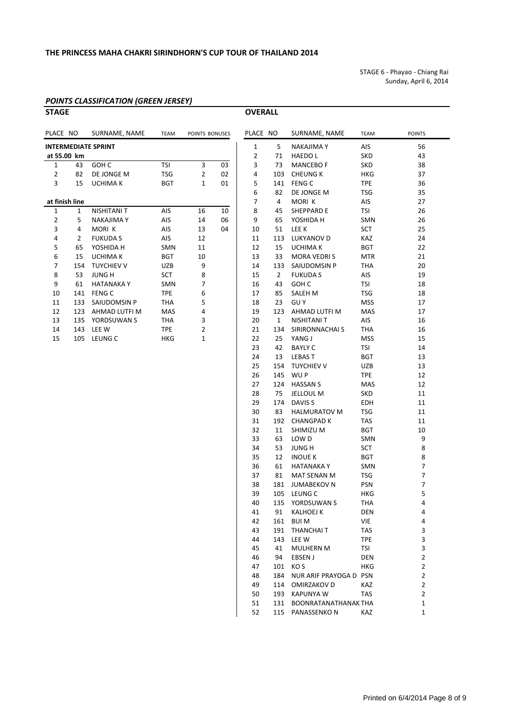STAGE 6 ‐ Phayao ‐ Chiang Rai Sunday, April 6, 2014

# *POINTS CLASSIFICATION (GREEN JERSEY)*

**OVERALL** 

| PLACE NO       |                | SURNAME, NAME              | <b>TEAM</b> | POINTS BONUSES |    | PLACE NO       |                | SURNAME, NAME       | <b>TEAM</b> | <b>POINTS</b>  |
|----------------|----------------|----------------------------|-------------|----------------|----|----------------|----------------|---------------------|-------------|----------------|
|                |                | <b>INTERMEDIATE SPRINT</b> |             |                |    | $\mathbf{1}$   | 5              | <b>NAKAJIMA Y</b>   | AIS         | 56             |
| at 55.00 km    |                |                            |             |                |    | $\overline{2}$ | 71             | <b>HAEDOL</b>       | <b>SKD</b>  | 43             |
| $\mathbf{1}$   | 43             | GOH C                      | <b>TSI</b>  | 3              | 03 | 3              | 73             | <b>MANCEBOF</b>     | <b>SKD</b>  | 38             |
| $\overline{2}$ | 82             | DE JONGE M                 | <b>TSG</b>  | $\overline{2}$ | 02 | 4              | 103            | <b>CHEUNG K</b>     | <b>HKG</b>  | 37             |
| 3              | 15             | <b>UCHIMA K</b>            | <b>BGT</b>  | 1              | 01 | 5              | 141            | <b>FENG C</b>       | <b>TPE</b>  | 36             |
|                |                |                            |             |                |    | 6              | 82             | DE JONGE M          | <b>TSG</b>  | 35             |
| at finish line |                |                            |             |                |    | 7              | 4              | MORI K              | AIS         | 27             |
| $\mathbf{1}$   | $\mathbf{1}$   | <b>NISHITANI T</b>         | AIS         | 16             | 10 | 8              | 45             | SHEPPARD E          | <b>TSI</b>  | 26             |
| $\mathbf 2$    | 5              | <b>NAKAJIMA Y</b>          | AIS         | 14             | 06 | 9              | 65             | YOSHIDA H           | SMN         | 26             |
| 3              | 4              | MORI K                     | AIS         | 13             | 04 | 10             | 51             | LEE K               | SCT         | 25             |
| 4              | $\overline{2}$ | <b>FUKUDA S</b>            | AIS         | 12             |    | 11             | 113            | LUKYANOV D          | KAZ         | 24             |
| 5              | 65             | YOSHIDA H                  | SMN         | 11             |    | 12             | 15             | <b>UCHIMAK</b>      | <b>BGT</b>  | 22             |
| 6              | 15             | <b>UCHIMA K</b>            | <b>BGT</b>  | 10             |    | 13             | 33             | <b>MORA VEDRIS</b>  | <b>MTR</b>  | 21             |
| $\overline{7}$ | 154            | <b>TUYCHIEV V</b>          | <b>UZB</b>  | 9              |    | 14             | 133            | SAIUDOMSIN P        | <b>THA</b>  | 20             |
| 8              | 53             | <b>JUNG H</b>              | <b>SCT</b>  | 8              |    | 15             | $\overline{2}$ | <b>FUKUDA S</b>     | AIS         | 19             |
| 9              | 61             | <b>HATANAKAY</b>           | <b>SMN</b>  | 7              |    | 16             | 43             | GOH <sub>C</sub>    | <b>TSI</b>  | 18             |
| 10             | 141            | <b>FENG C</b>              | <b>TPE</b>  | 6              |    | 17             | 85             | SALEH M             | <b>TSG</b>  | 18             |
| 11             | 133            | SAIUDOMSIN P               | <b>THA</b>  | 5              |    | 18             | 23             | <b>GUY</b>          | <b>MSS</b>  | 17             |
| 12             | 123            | AHMAD LUTFI M              | MAS         | 4              |    | 19             | 123            | AHMAD LUTFI M       | MAS         | 17             |
| 13             | 135            | YORDSUWAN S                | <b>THA</b>  | 3              |    | 20             | $\mathbf{1}$   | <b>NISHITANI T</b>  | AIS         | 16             |
| 14             | 143            | LEE W                      | <b>TPE</b>  | $\overline{2}$ |    | 21             | 134            | SIRIRONNACHAI S     | <b>THA</b>  | 16             |
| 15             | 105            | LEUNG C                    | <b>HKG</b>  | $\mathbf{1}$   |    | 22             | 25             | YANG J              | <b>MSS</b>  | 15             |
|                |                |                            |             |                |    | 23             | 42             | <b>BAYLY C</b>      | <b>TSI</b>  | 14             |
|                |                |                            |             |                |    | 24             | 13             | <b>LEBAST</b>       | <b>BGT</b>  | 13             |
|                |                |                            |             |                |    | 25             | 154            | <b>TUYCHIEV V</b>   | <b>UZB</b>  | 13             |
|                |                |                            |             |                |    | 26             | 145            | WU P                | <b>TPE</b>  | 12             |
|                |                |                            |             |                |    | 27             | 124            | <b>HASSAN S</b>     | MAS         | 12             |
|                |                |                            |             |                |    | 28             | 75             | <b>JELLOUL M</b>    | <b>SKD</b>  | 11             |
|                |                |                            |             |                |    | 29             | 174            | DAVIS <sub>S</sub>  | EDH         | 11             |
|                |                |                            |             |                |    | 30             | 83             | <b>HALMURATOV M</b> | <b>TSG</b>  | 11             |
|                |                |                            |             |                |    | 31             | 192            | <b>CHANGPAD K</b>   | <b>TAS</b>  | 11             |
|                |                |                            |             |                |    | 32             | 11             | SHIMIZU M           | <b>BGT</b>  | 10             |
|                |                |                            |             |                |    | 33             | 63             | LOW D               | SMN         | 9              |
|                |                |                            |             |                |    | 34             | 53             | <b>JUNG H</b>       | SCT         | 8              |
|                |                |                            |             |                |    | 35             | 12             | <b>INOUE K</b>      | <b>BGT</b>  | 8              |
|                |                |                            |             |                |    | 36             | 61             | <b>HATANAKAY</b>    | SMN         | $\overline{7}$ |

| PLACE NO |                | SURNAME, NAME          | <b>TEAM</b> | <b>POINTS</b>  |
|----------|----------------|------------------------|-------------|----------------|
| 1        | 5              | NAKAJIMA Y             | AIS         | 56             |
| 2        | 71             | <b>HAEDO L</b>         | SKD         | 43             |
| 3        | 73             | <b>MANCEBO F</b>       | SKD         | 38             |
| 4        | 103            | CHEUNG K               | HKG         | 37             |
| 5        | 141            | <b>FENG C</b>          | <b>TPE</b>  | 36             |
| 6        | 82             | DE JONGE M             | <b>TSG</b>  | 35             |
| 7        | $\overline{4}$ | MORI K                 | AIS         | 27             |
| 8        | 45             | SHEPPARD E             | TSI         | 26             |
| 9        | 65             | YOSHIDA H              | SMN         | 26             |
| 10       | 51             | lee k                  | SCT         | 25             |
|          | 113            | LUKYANOV D             | <b>KAZ</b>  | 24             |
| 11       |                |                        |             |                |
| 12       |                | 15 UCHIMA K            | <b>BGT</b>  | 22             |
| 13       | 33             | <b>MORA VEDRIS</b>     | <b>MTR</b>  | 21             |
| 14       | 133            | SAIUDOMSIN P           | THA         | 20             |
| 15       | $2^{\circ}$    | FUKUDA S               | AIS         | 19             |
| 16       | 43             | GOH C                  | <b>TSI</b>  | 18             |
| 17       | 85             | SALEH M                | <b>TSG</b>  | 18             |
| 18       | 23             | GU Y                   | MSS         | 17             |
| 19       | 123            | AHMAD LUTFI M          | MAS         | 17             |
| 20       | $\mathbf{1}$   | NISHITANI T            | AIS         | 16             |
| 21       | 134            | SIRIRONNACHAI S        | THA         | 16             |
| 22       | 25             | YANG J                 | <b>MSS</b>  | 15             |
| 23       | 42             | BAYLY C                | TSI         | 14             |
| 24       | 13             | LEBAS T                | BGT         | 13             |
| 25       |                | 154 TUYCHIEV V         | UZB         | 13             |
| 26       | 145            | WU P                   | <b>TPE</b>  | 12             |
| 27       | 124            | HASSAN S               | MAS         | 12             |
| 28       | 75             | JELLOUL M              | <b>SKD</b>  | 11             |
| 29       |                | 174 DAVIS S            | EDH         | 11             |
| 30       |                | 83 HALMURATOV M        | <b>TSG</b>  | 11             |
| 31       |                | 192 CHANGPAD K         | <b>TAS</b>  | 11             |
| 32       | 11             | SHIMIZU M              | BGT         | 10             |
| 33       | 63             | LOW D                  | SMN         | 9              |
| 34       | 53             | JUNG H                 | SCT         | 8              |
| 35       | 12             | INOUE K                | <b>BGT</b>  | 8              |
| 36       | 61             | HATANAKA Y             | <b>SMN</b>  | 7              |
| 37       | 81             | MAT SENAN M            | TSG         | $\overline{7}$ |
| 38       | 181            | <b>JUMABEKOV N</b>     | <b>PSN</b>  | 7              |
| 39       | 105            | LEUNG C                | <b>HKG</b>  | 5              |
| 40       | 135            | YORDSUWAN S            | <b>THA</b>  | 4              |
| 41       | 91             | <b>KALHOEJ K</b>       | DEN         | 4              |
| 42       | 161            | <b>BUIM</b>            | VIE         | 4              |
| 43       | 191            | THANCHAI T             | TAS         | 3              |
| 44       | 143            | LEE W                  | <b>TPE</b>  | 3              |
| 45       | 41             | MULHERN M              | TSI         | 3              |
| 46       | 94             | <b>EBSEN J</b>         | DEN         | $\overline{2}$ |
| 47       | 101            | KO S                   | HKG         | 2              |
| 48       | 184            | NUR ARIF PRAYOGA D PSN |             | 2              |
| 49       | 114            | OMIRZAKOV D            | KAZ         | $\overline{2}$ |
| 50       | 193            | KAPUNYA W              | TAS         | $\overline{2}$ |
| 51       |                | BOONRATANATHANAK THA   |             | 1              |
|          | 131            |                        |             |                |
| 52       | 115            | PANASSENKO N           | KAZ         | 1              |